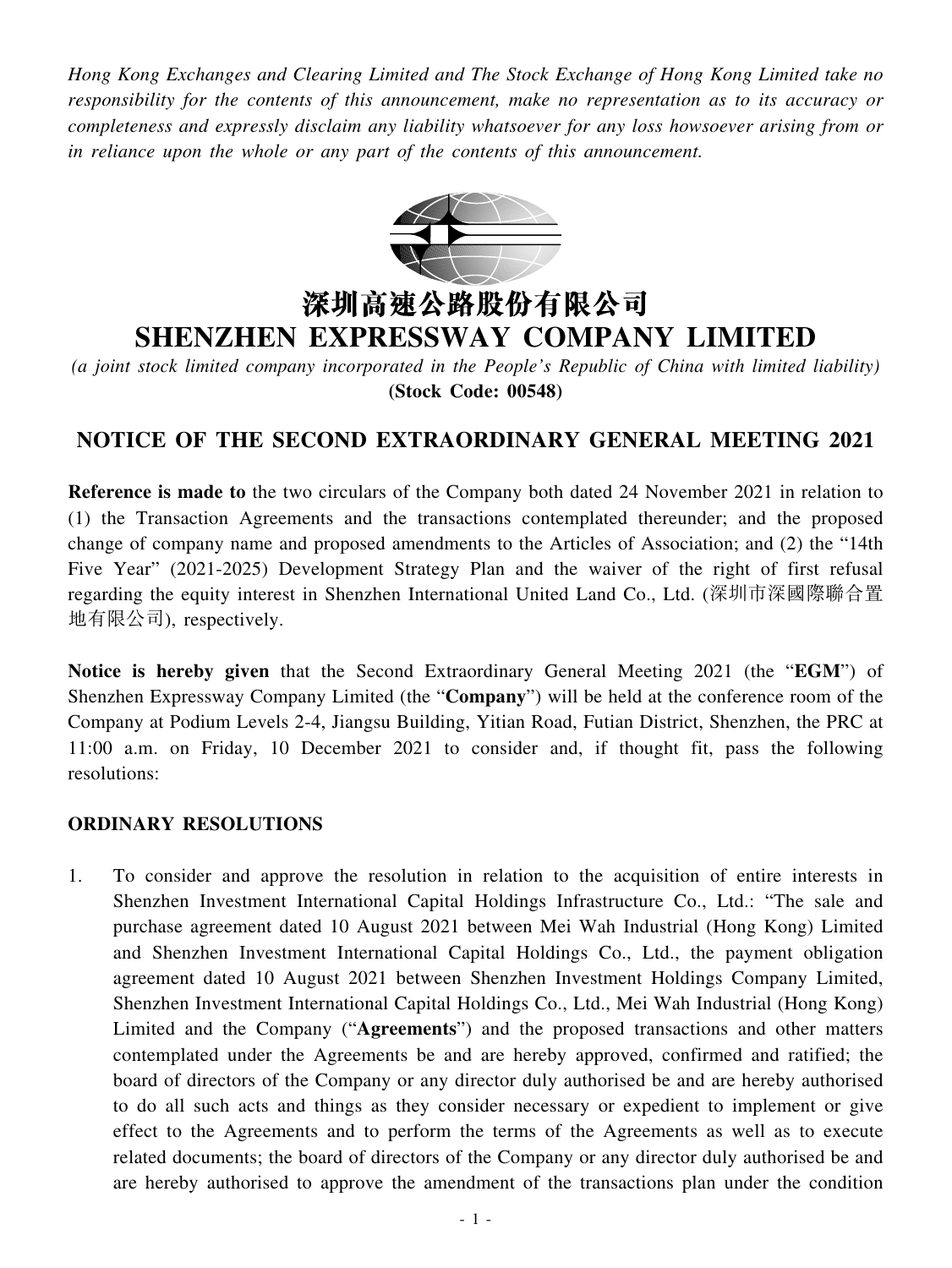*Hong Kong Exchanges and Clearing Limited and The Stock Exchange of Hong Kong Limited take no responsibility for the contents of this announcement, make no representation as to its accuracy or completeness and expressly disclaim any liability whatsoever for any loss howsoever arising from or in reliance upon the whole or any part of the contents of this announcement.*



# 深圳高速公路股份有限公司 **SHENZHEN EXPRESSWAY COMPANY LIMITED**

*(a joint stock limited company incorporated in the People's Republic of China with limited liability)* **(Stock Code: 00548)**

# **NOTICE OF THE SECOND EXTRAORDINARY GENERAL MEETING 2021**

**Reference is made to** the two circulars of the Company both dated 24 November 2021 in relation to (1) the Transaction Agreements and the transactions contemplated thereunder; and the proposed change of company name and proposed amendments to the Articles of Association; and (2) the "14th Five Year" (2021-2025) Development Strategy Plan and the waiver of the right of first refusal regarding the equity interest in Shenzhen International United Land Co., Ltd. (深圳市深國際聯合置 地有限公司), respectively.

**Notice is hereby given** that the Second Extraordinary General Meeting 2021 (the "**EGM**") of Shenzhen Expressway Company Limited (the "**Company**") will be held at the conference room of the Company at Podium Levels 2-4, Jiangsu Building, Yitian Road, Futian District, Shenzhen, the PRC at 11:00 a.m. on Friday, 10 December 2021 to consider and, if thought fit, pass the following resolutions:

## **ORDINARY RESOLUTIONS**

1. To consider and approve the resolution in relation to the acquisition of entire interests in Shenzhen Investment International Capital Holdings Infrastructure Co., Ltd.: "The sale and purchase agreement dated 10 August 2021 between Mei Wah Industrial (Hong Kong) Limited and Shenzhen Investment International Capital Holdings Co., Ltd., the payment obligation agreement dated 10 August 2021 between Shenzhen Investment Holdings Company Limited, Shenzhen Investment International Capital Holdings Co., Ltd., Mei Wah Industrial (Hong Kong) Limited and the Company ("**Agreements**") and the proposed transactions and other matters contemplated under the Agreements be and are hereby approved, confirmed and ratified; the board of directors of the Company or any director duly authorised be and are hereby authorised to do all such acts and things as they consider necessary or expedient to implement or give effect to the Agreements and to perform the terms of the Agreements as well as to execute related documents; the board of directors of the Company or any director duly authorised be and are hereby authorised to approve the amendment of the transactions plan under the condition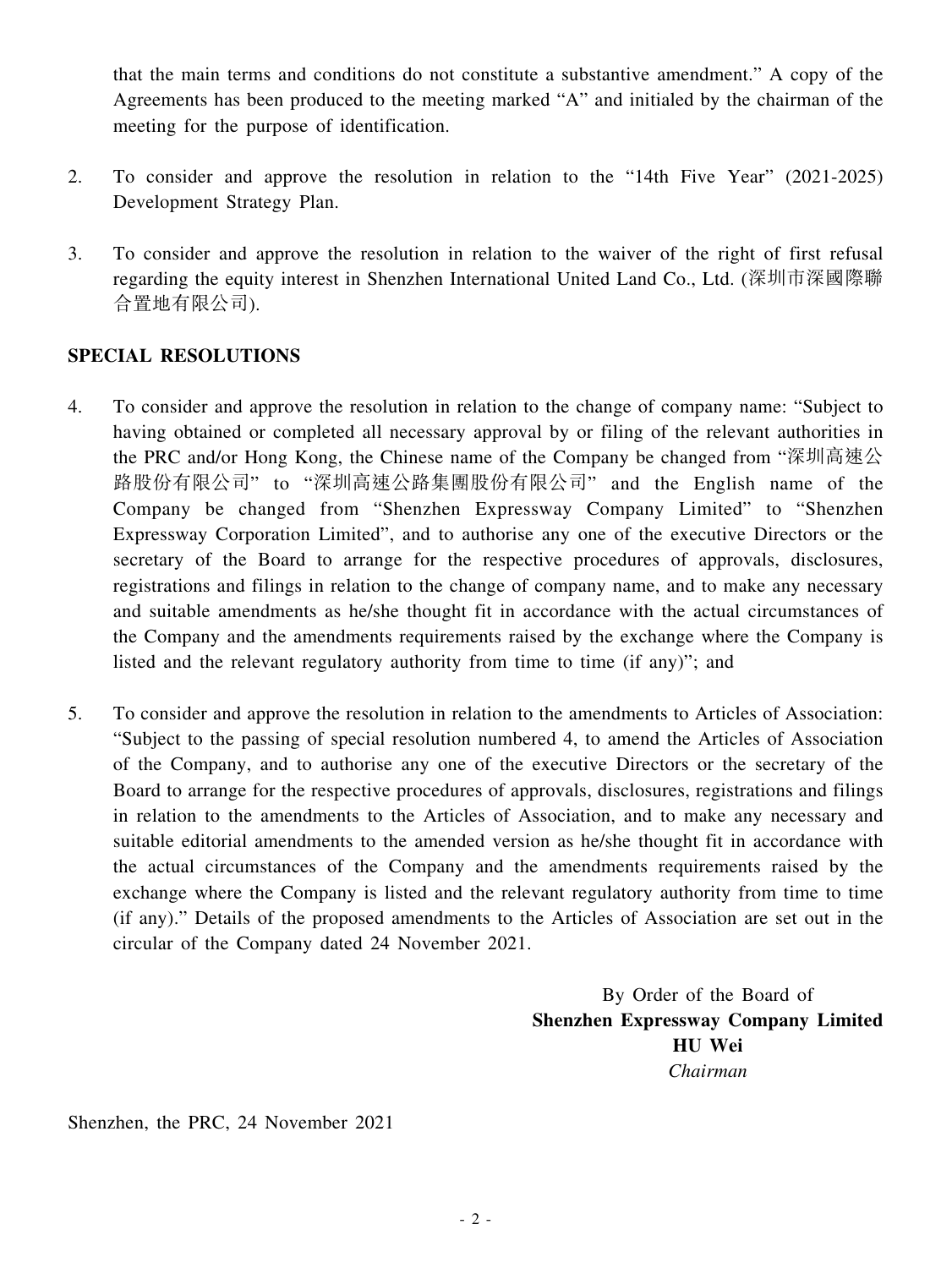that the main terms and conditions do not constitute a substantive amendment." A copy of the Agreements has been produced to the meeting marked "A" and initialed by the chairman of the meeting for the purpose of identification.

- 2. To consider and approve the resolution in relation to the "14th Five Year" (2021-2025) Development Strategy Plan.
- 3. To consider and approve the resolution in relation to the waiver of the right of first refusal regarding the equity interest in Shenzhen International United Land Co., Ltd. (深圳市深國際聯 合置地有限公司).

# **SPECIAL RESOLUTIONS**

- 4. To consider and approve the resolution in relation to the change of company name: "Subject to having obtained or completed all necessary approval by or filing of the relevant authorities in the PRC and/or Hong Kong, the Chinese name of the Company be changed from "深圳高速公 路股份有限公司" to "深圳高速公路集團股份有限公司" and the English name of the Company be changed from "Shenzhen Expressway Company Limited" to "Shenzhen Expressway Corporation Limited", and to authorise any one of the executive Directors or the secretary of the Board to arrange for the respective procedures of approvals, disclosures, registrations and filings in relation to the change of company name, and to make any necessary and suitable amendments as he/she thought fit in accordance with the actual circumstances of the Company and the amendments requirements raised by the exchange where the Company is listed and the relevant regulatory authority from time to time (if any)"; and
- 5. To consider and approve the resolution in relation to the amendments to Articles of Association: "Subject to the passing of special resolution numbered 4, to amend the Articles of Association of the Company, and to authorise any one of the executive Directors or the secretary of the Board to arrange for the respective procedures of approvals, disclosures, registrations and filings in relation to the amendments to the Articles of Association, and to make any necessary and suitable editorial amendments to the amended version as he/she thought fit in accordance with the actual circumstances of the Company and the amendments requirements raised by the exchange where the Company is listed and the relevant regulatory authority from time to time (if any)." Details of the proposed amendments to the Articles of Association are set out in the circular of the Company dated 24 November 2021.

By Order of the Board of **Shenzhen Expressway Company Limited HU Wei** *Chairman*

Shenzhen, the PRC, 24 November 2021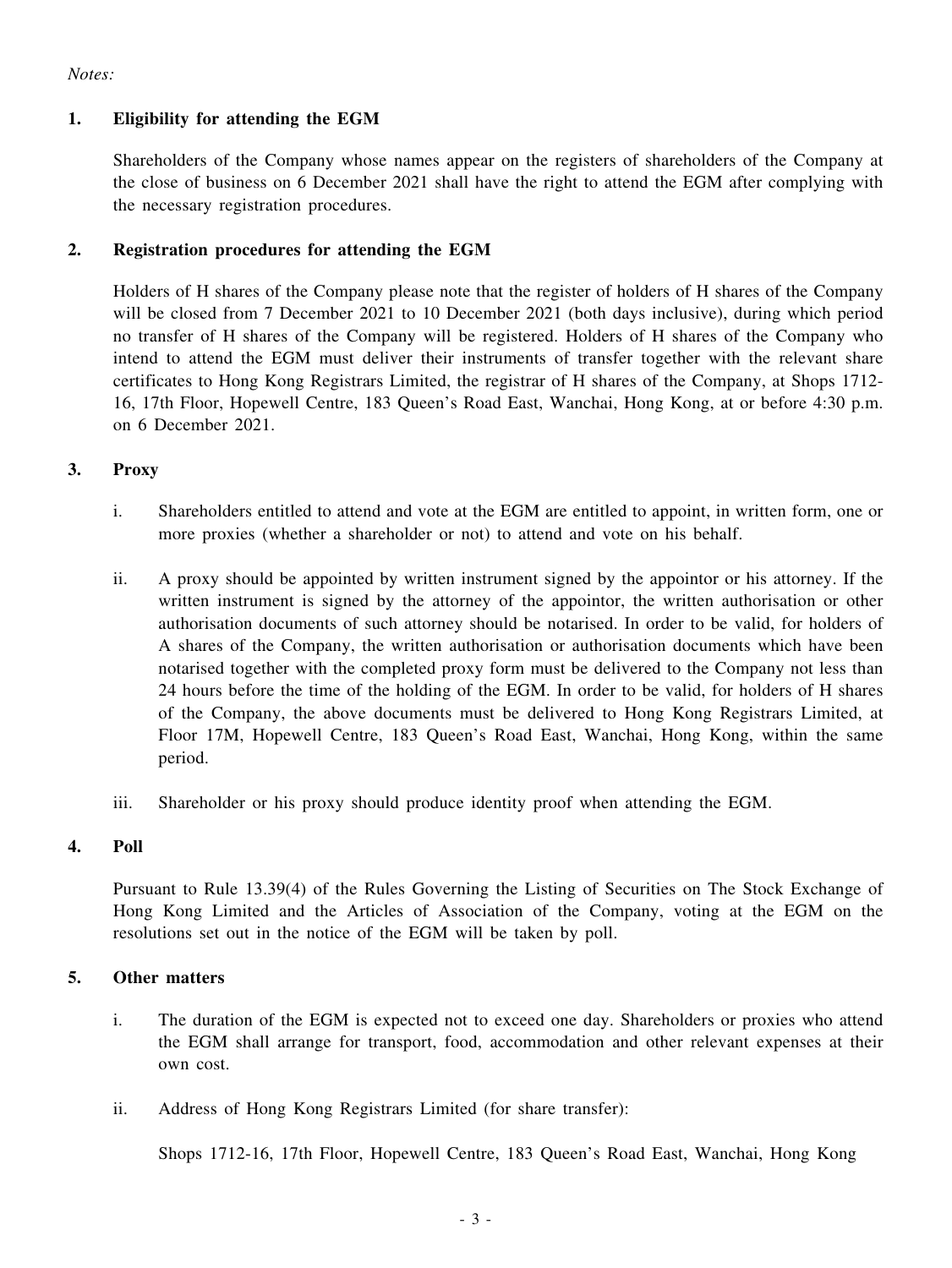*Notes:*

## **1. Eligibility for attending the EGM**

Shareholders of the Company whose names appear on the registers of shareholders of the Company at the close of business on 6 December 2021 shall have the right to attend the EGM after complying with the necessary registration procedures.

### **2. Registration procedures for attending the EGM**

Holders of H shares of the Company please note that the register of holders of H shares of the Company will be closed from 7 December 2021 to 10 December 2021 (both days inclusive), during which period no transfer of H shares of the Company will be registered. Holders of H shares of the Company who intend to attend the EGM must deliver their instruments of transfer together with the relevant share certificates to Hong Kong Registrars Limited, the registrar of H shares of the Company, at Shops 1712- 16, 17th Floor, Hopewell Centre, 183 Queen's Road East, Wanchai, Hong Kong, at or before 4:30 p.m. on 6 December 2021.

#### **3. Proxy**

- i. Shareholders entitled to attend and vote at the EGM are entitled to appoint, in written form, one or more proxies (whether a shareholder or not) to attend and vote on his behalf.
- ii. A proxy should be appointed by written instrument signed by the appointor or his attorney. If the written instrument is signed by the attorney of the appointor, the written authorisation or other authorisation documents of such attorney should be notarised. In order to be valid, for holders of A shares of the Company, the written authorisation or authorisation documents which have been notarised together with the completed proxy form must be delivered to the Company not less than 24 hours before the time of the holding of the EGM. In order to be valid, for holders of H shares of the Company, the above documents must be delivered to Hong Kong Registrars Limited, at Floor 17M, Hopewell Centre, 183 Queen's Road East, Wanchai, Hong Kong, within the same period.
- iii. Shareholder or his proxy should produce identity proof when attending the EGM.

#### **4. Poll**

Pursuant to Rule 13.39(4) of the Rules Governing the Listing of Securities on The Stock Exchange of Hong Kong Limited and the Articles of Association of the Company, voting at the EGM on the resolutions set out in the notice of the EGM will be taken by poll.

#### **5. Other matters**

- i. The duration of the EGM is expected not to exceed one day. Shareholders or proxies who attend the EGM shall arrange for transport, food, accommodation and other relevant expenses at their own cost.
- ii. Address of Hong Kong Registrars Limited (for share transfer):

Shops 1712-16, 17th Floor, Hopewell Centre, 183 Queen's Road East, Wanchai, Hong Kong